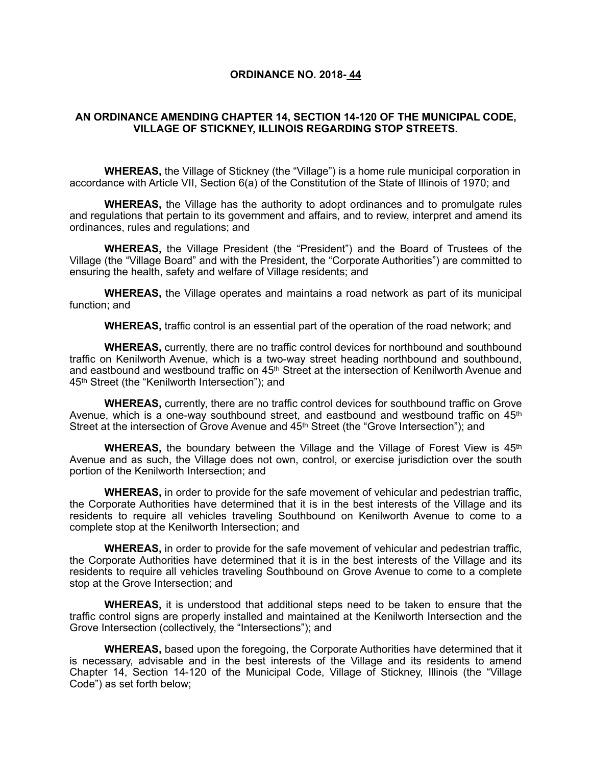### **ORDINANCE NO. 2018- 44**

## **AN ORDINANCE AMENDING CHAPTER 14, SECTION 14-120 OF THE MUNICIPAL CODE, VILLAGE OF STICKNEY, ILLINOIS REGARDING STOP STREETS.**

**WHEREAS,** the Village of Stickney (the "Village") is a home rule municipal corporation in accordance with Article VII, Section 6(a) of the Constitution of the State of Illinois of 1970; and

**WHEREAS,** the Village has the authority to adopt ordinances and to promulgate rules and regulations that pertain to its government and affairs, and to review, interpret and amend its ordinances, rules and regulations; and

**WHEREAS,** the Village President (the "President") and the Board of Trustees of the Village (the "Village Board" and with the President, the "Corporate Authorities") are committed to ensuring the health, safety and welfare of Village residents; and

**WHEREAS,** the Village operates and maintains a road network as part of its municipal function; and

**WHEREAS,** traffic control is an essential part of the operation of the road network; and

**WHEREAS,** currently, there are no traffic control devices for northbound and southbound traffic on Kenilworth Avenue, which is a two-way street heading northbound and southbound, and eastbound and westbound traffic on 45<sup>th</sup> Street at the intersection of Kenilworth Avenue and 45th Street (the "Kenilworth Intersection"); and

**WHEREAS,** currently, there are no traffic control devices for southbound traffic on Grove Avenue, which is a one-way southbound street, and eastbound and westbound traffic on 45<sup>th</sup> Street at the intersection of Grove Avenue and 45<sup>th</sup> Street (the "Grove Intersection"); and

**WHEREAS,** the boundary between the Village and the Village of Forest View is 45<sup>th</sup> Avenue and as such, the Village does not own, control, or exercise jurisdiction over the south portion of the Kenilworth Intersection; and

**WHEREAS,** in order to provide for the safe movement of vehicular and pedestrian traffic, the Corporate Authorities have determined that it is in the best interests of the Village and its residents to require all vehicles traveling Southbound on Kenilworth Avenue to come to a complete stop at the Kenilworth Intersection; and

**WHEREAS,** in order to provide for the safe movement of vehicular and pedestrian traffic, the Corporate Authorities have determined that it is in the best interests of the Village and its residents to require all vehicles traveling Southbound on Grove Avenue to come to a complete stop at the Grove Intersection; and

**WHEREAS,** it is understood that additional steps need to be taken to ensure that the traffic control signs are properly installed and maintained at the Kenilworth Intersection and the Grove Intersection (collectively, the "Intersections"); and

**WHEREAS,** based upon the foregoing, the Corporate Authorities have determined that it is necessary, advisable and in the best interests of the Village and its residents to amend Chapter 14, Section 14-120 of the Municipal Code, Village of Stickney, Illinois (the "Village Code") as set forth below;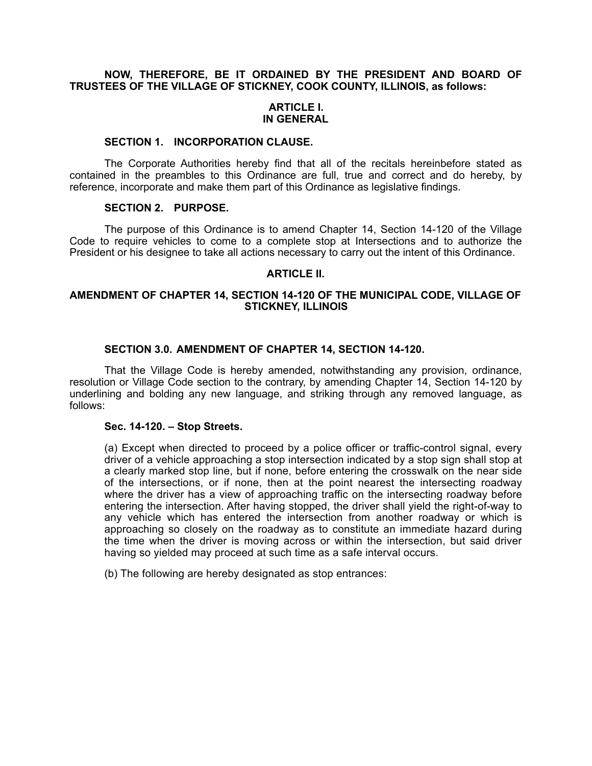## **NOW, THEREFORE, BE IT ORDAINED BY THE PRESIDENT AND BOARD OF TRUSTEES OF THE VILLAGE OF STICKNEY, COOK COUNTY, ILLINOIS, as follows:**

## **ARTICLE I. IN GENERAL**

### **SECTION 1. INCORPORATION CLAUSE.**

The Corporate Authorities hereby find that all of the recitals hereinbefore stated as contained in the preambles to this Ordinance are full, true and correct and do hereby, by reference, incorporate and make them part of this Ordinance as legislative findings.

## **SECTION 2. PURPOSE.**

The purpose of this Ordinance is to amend Chapter 14, Section 14-120 of the Village Code to require vehicles to come to a complete stop at Intersections and to authorize the President or his designee to take all actions necessary to carry out the intent of this Ordinance.

## **ARTICLE II.**

## **AMENDMENT OF CHAPTER 14, SECTION 14-120 OF THE MUNICIPAL CODE, VILLAGE OF STICKNEY, ILLINOIS**

# **SECTION 3.0. AMENDMENT OF CHAPTER 14, SECTION 14-120.**

That the Village Code is hereby amended, notwithstanding any provision, ordinance, resolution or Village Code section to the contrary, by amending Chapter 14, Section 14-120 by underlining and bolding any new language, and striking through any removed language, as follows:

#### **Sec. 14-120. – Stop Streets.**

(a) Except when directed to proceed by a police officer or traffic-control signal, every driver of a vehicle approaching a stop intersection indicated by a stop sign shall stop at a clearly marked stop line, but if none, before entering the crosswalk on the near side of the intersections, or if none, then at the point nearest the intersecting roadway where the driver has a view of approaching traffic on the intersecting roadway before entering the intersection. After having stopped, the driver shall yield the right-of-way to any vehicle which has entered the intersection from another roadway or which is approaching so closely on the roadway as to constitute an immediate hazard during the time when the driver is moving across or within the intersection, but said driver having so yielded may proceed at such time as a safe interval occurs.

(b) The following are hereby designated as stop entrances: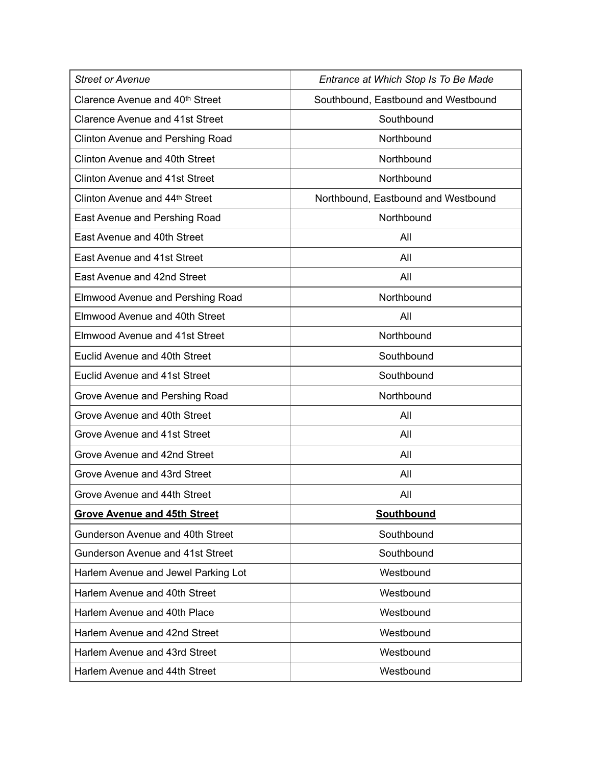| <b>Street or Avenue</b>                 | Entrance at Which Stop Is To Be Made |
|-----------------------------------------|--------------------------------------|
| Clarence Avenue and 40th Street         | Southbound, Eastbound and Westbound  |
| <b>Clarence Avenue and 41st Street</b>  | Southbound                           |
| <b>Clinton Avenue and Pershing Road</b> | Northbound                           |
| Clinton Avenue and 40th Street          | Northbound                           |
| <b>Clinton Avenue and 41st Street</b>   | Northbound                           |
| Clinton Avenue and 44th Street          | Northbound, Eastbound and Westbound  |
| East Avenue and Pershing Road           | Northbound                           |
| East Avenue and 40th Street             | All                                  |
| East Avenue and 41st Street             | All                                  |
| East Avenue and 42nd Street             | All                                  |
| <b>Elmwood Avenue and Pershing Road</b> | Northbound                           |
| <b>Elmwood Avenue and 40th Street</b>   | All                                  |
| <b>Elmwood Avenue and 41st Street</b>   | Northbound                           |
| Euclid Avenue and 40th Street           | Southbound                           |
| <b>Euclid Avenue and 41st Street</b>    | Southbound                           |
| Grove Avenue and Pershing Road          | Northbound                           |
| Grove Avenue and 40th Street            | All                                  |
| Grove Avenue and 41st Street            | All                                  |
| Grove Avenue and 42nd Street            | All                                  |
| Grove Avenue and 43rd Street            | All                                  |
| Grove Avenue and 44th Street            | All                                  |
| <b>Grove Avenue and 45th Street</b>     | <b>Southbound</b>                    |
| Gunderson Avenue and 40th Street        | Southbound                           |
| Gunderson Avenue and 41st Street        | Southbound                           |
| Harlem Avenue and Jewel Parking Lot     | Westbound                            |
| Harlem Avenue and 40th Street           | Westbound                            |
| Harlem Avenue and 40th Place            | Westbound                            |
| Harlem Avenue and 42nd Street           | Westbound                            |
| Harlem Avenue and 43rd Street           | Westbound                            |
| Harlem Avenue and 44th Street           | Westbound                            |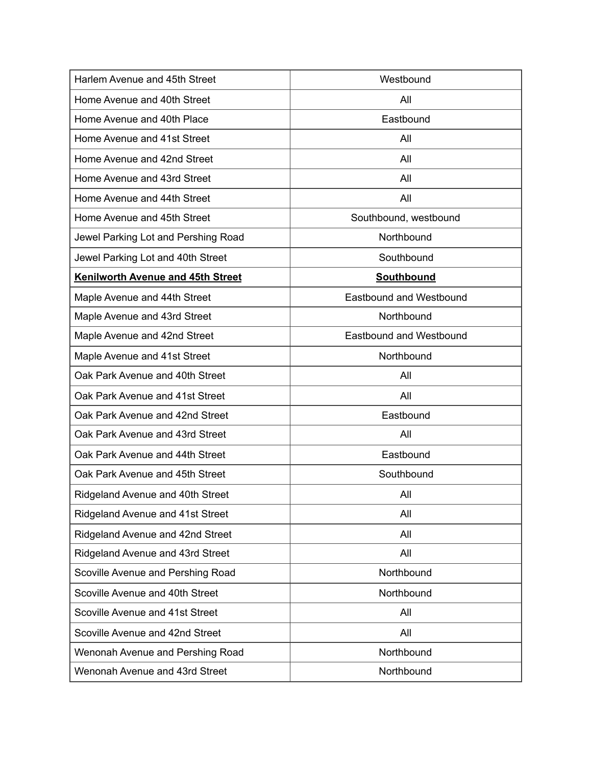| Harlem Avenue and 45th Street            | Westbound                      |
|------------------------------------------|--------------------------------|
| Home Avenue and 40th Street              | All                            |
| Home Avenue and 40th Place               | Eastbound                      |
| Home Avenue and 41st Street              | All                            |
| Home Avenue and 42nd Street              | All                            |
| Home Avenue and 43rd Street              | All                            |
| Home Avenue and 44th Street              | All                            |
| Home Avenue and 45th Street              | Southbound, westbound          |
| Jewel Parking Lot and Pershing Road      | Northbound                     |
| Jewel Parking Lot and 40th Street        | Southbound                     |
| <b>Kenilworth Avenue and 45th Street</b> | <b>Southbound</b>              |
| Maple Avenue and 44th Street             | <b>Eastbound and Westbound</b> |
| Maple Avenue and 43rd Street             | Northbound                     |
| Maple Avenue and 42nd Street             | <b>Eastbound and Westbound</b> |
| Maple Avenue and 41st Street             | Northbound                     |
| Oak Park Avenue and 40th Street          | All                            |
| Oak Park Avenue and 41st Street          | All                            |
| Oak Park Avenue and 42nd Street          | Eastbound                      |
| Oak Park Avenue and 43rd Street          | All                            |
| Oak Park Avenue and 44th Street          | Eastbound                      |
| Oak Park Avenue and 45th Street          | Southbound                     |
| Ridgeland Avenue and 40th Street         | All                            |
| Ridgeland Avenue and 41st Street         | All                            |
| Ridgeland Avenue and 42nd Street         | All                            |
| Ridgeland Avenue and 43rd Street         | All                            |
| Scoville Avenue and Pershing Road        | Northbound                     |
| Scoville Avenue and 40th Street          | Northbound                     |
| Scoville Avenue and 41st Street          | All                            |
| Scoville Avenue and 42nd Street          | All                            |
| Wenonah Avenue and Pershing Road         | Northbound                     |
| Wenonah Avenue and 43rd Street           | Northbound                     |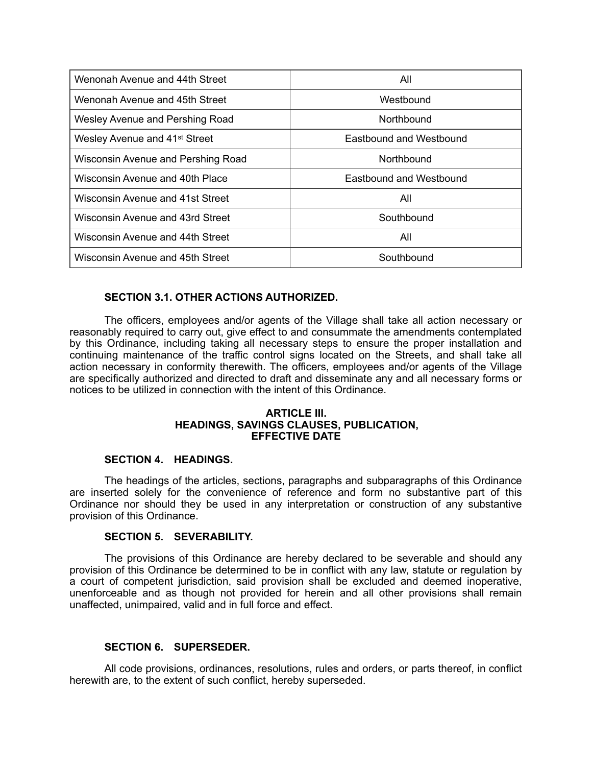| Wenonah Avenue and 44th Street            | All                     |
|-------------------------------------------|-------------------------|
| Wenonah Avenue and 45th Street            | Westbound               |
| Wesley Avenue and Pershing Road           | Northbound              |
| Wesley Avenue and 41 <sup>st</sup> Street | Eastbound and Westbound |
| Wisconsin Avenue and Pershing Road        | Northbound              |
| Wisconsin Avenue and 40th Place           | Eastbound and Westbound |
| Wisconsin Avenue and 41st Street          | All                     |
| Wisconsin Avenue and 43rd Street          | Southbound              |
| Wisconsin Avenue and 44th Street          | All                     |
| Wisconsin Avenue and 45th Street          | Southbound              |

# **SECTION 3.1. OTHER ACTIONS AUTHORIZED.**

The officers, employees and/or agents of the Village shall take all action necessary or reasonably required to carry out, give effect to and consummate the amendments contemplated by this Ordinance, including taking all necessary steps to ensure the proper installation and continuing maintenance of the traffic control signs located on the Streets, and shall take all action necessary in conformity therewith. The officers, employees and/or agents of the Village are specifically authorized and directed to draft and disseminate any and all necessary forms or notices to be utilized in connection with the intent of this Ordinance.

#### **ARTICLE III. HEADINGS, SAVINGS CLAUSES, PUBLICATION, EFFECTIVE DATE**

## **SECTION 4. HEADINGS.**

The headings of the articles, sections, paragraphs and subparagraphs of this Ordinance are inserted solely for the convenience of reference and form no substantive part of this Ordinance nor should they be used in any interpretation or construction of any substantive provision of this Ordinance.

## **SECTION 5. SEVERABILITY.**

The provisions of this Ordinance are hereby declared to be severable and should any provision of this Ordinance be determined to be in conflict with any law, statute or regulation by a court of competent jurisdiction, said provision shall be excluded and deemed inoperative, unenforceable and as though not provided for herein and all other provisions shall remain unaffected, unimpaired, valid and in full force and effect.

## **SECTION 6. SUPERSEDER.**

All code provisions, ordinances, resolutions, rules and orders, or parts thereof, in conflict herewith are, to the extent of such conflict, hereby superseded.